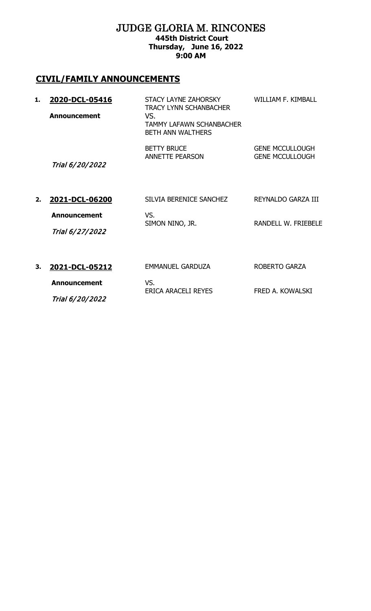#### JUDGE GLORIA M. RINCONES **445th District Court Thursday, June 16, 2022 9:00 AM**

# **CIVIL/FAMILY ANNOUNCEMENTS**

| 1. | 2020-DCL-05416<br><b>Announcement</b> | STACY LAYNE ZAHORSKY<br><b>TRACY LYNN SCHANBACHER</b><br>VS.<br>TAMMY LAFAWN SCHANBACHER<br><b>BETH ANN WALTHERS</b> | WILLIAM F. KIMBALL                               |
|----|---------------------------------------|----------------------------------------------------------------------------------------------------------------------|--------------------------------------------------|
|    | Trial 6/20/2022                       | <b>BETTY BRUCE</b><br><b>ANNETTE PEARSON</b>                                                                         | <b>GENE MCCULLOUGH</b><br><b>GENE MCCULLOUGH</b> |
| 2. | 2021-DCL-06200                        | SILVIA BERENICE SANCHEZ                                                                                              | REYNALDO GARZA III                               |
|    | <b>Announcement</b>                   | VS.<br>SIMON NINO, JR.                                                                                               | <b>RANDELL W. FRIEBELE</b>                       |
|    | Trial 6/27/2022                       |                                                                                                                      |                                                  |
| 3. | 2021-DCL-05212                        | <b>EMMANUEL GARDUZA</b>                                                                                              | <b>ROBERTO GARZA</b>                             |
|    | <b>Announcement</b>                   | VS.<br>ERICA ARACELI REYES                                                                                           | FRED A. KOWALSKI                                 |
|    | Trial 6/20/2022                       |                                                                                                                      |                                                  |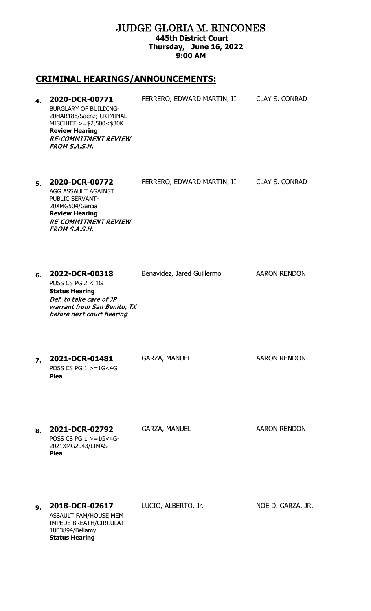#### JUDGE GLORIA M. RINCONES **445th District Court Thursday, June 16, 2022 9:00 AM**

# **CRIMINAL HEARINGS/ANNOUNCEMENTS:**

| 4. | 2020-DCR-00771<br><b>BURGLARY OF BUILDING-</b><br>20HAR186/Saenz; CRIMINAL<br>MISCHIEF >=\$2,500<\$30K<br><b>Review Hearing</b><br><b>RE-COMMITMENT REVIEW</b><br>FROM S.A.S.H. | FERRERO, EDWARD MARTIN, II | <b>CLAY S. CONRAD</b> |
|----|---------------------------------------------------------------------------------------------------------------------------------------------------------------------------------|----------------------------|-----------------------|
| 5. | 2020-DCR-00772<br>AGG ASSAULT AGAINST<br>PUBLIC SERVANT-<br>20XMG504/Garcia<br><b>Review Hearing</b><br><b>RE-COMMITMENT REVIEW</b><br>FROM S.A.S.H.                            | FERRERO, EDWARD MARTIN, II | <b>CLAY S. CONRAD</b> |
| 6. | 2022-DCR-00318<br>POSS CS PG $2 < 1$ G<br><b>Status Hearing</b><br>Def. to take care of JP<br>warrant from San Benito, TX<br>before next court hearing                          | Benavidez, Jared Guillermo | <b>AARON RENDON</b>   |
| 7. | 2021-DCR-01481<br>POSS CS PG $1 > = 1$ G<4G<br><b>Plea</b>                                                                                                                      | <b>GARZA, MANUEL</b>       | <b>AARON RENDON</b>   |
| 8. | 2021-DCR-02792<br>POSS CS PG $1 > = 1$ G<4G-<br>2021XMG2043/LIMAS<br><b>Plea</b>                                                                                                | <b>GARZA, MANUEL</b>       | <b>AARON RENDON</b>   |
| 9. | 2018-DCR-02617<br>ASSAULT FAM/HOUSE MEM<br><b>IMPEDE BREATH/CIRCULAT-</b><br>18B3894/Bellamy<br><b>Status Hearing</b>                                                           | LUCIO, ALBERTO, Jr.        | NOE D. GARZA, JR.     |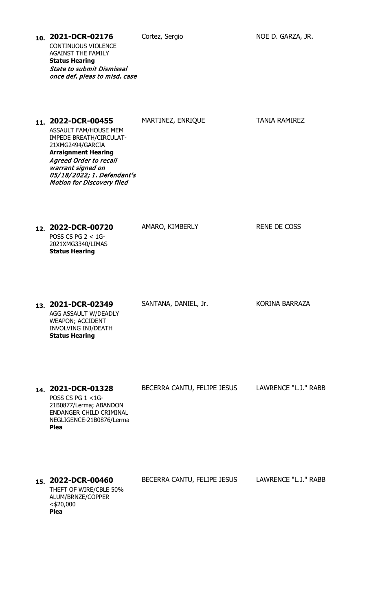| 10. 2021-DCR-02176                                                | Cortez, Sergio | NOE D. GARZA, JR. |
|-------------------------------------------------------------------|----------------|-------------------|
| <b>CONTINUOUS VIOLENCE</b>                                        |                |                   |
| <b>AGAINST THE FAMILY</b>                                         |                |                   |
| <b>Status Hearing</b>                                             |                |                   |
| <b>State to submit Dismissal</b><br>once def. pleas to misd. case |                |                   |

| 11. 2022-DCR-00455<br>ASSAULT FAM/HOUSE MEM<br><b>IMPEDE BREATH/CIRCULAT-</b><br>21XMG2494/GARCIA<br><b>Arraignment Hearing</b><br><b>Agreed Order to recall</b><br>warrant signed on<br>05/18/2022; 1. Defendant's<br><b>Motion for Discovery filed</b> | MARTINEZ, ENRIQUE           | <b>TANIA RAMIREZ</b>  |
|----------------------------------------------------------------------------------------------------------------------------------------------------------------------------------------------------------------------------------------------------------|-----------------------------|-----------------------|
| 12. 2022-DCR-00720<br>POSS CS PG $2 < 1$ G-<br>2021XMG3340/LIMAS<br><b>Status Hearing</b>                                                                                                                                                                | AMARO, KIMBERLY             | <b>RENE DE COSS</b>   |
| 13. 2021-DCR-02349<br>AGG ASSAULT W/DEADLY<br>WEAPON; ACCIDENT<br>INVOLVING INJ/DEATH<br><b>Status Hearing</b>                                                                                                                                           | SANTANA, DANIEL, Jr.        | <b>KORINA BARRAZA</b> |
| 14. 2021-DCR-01328<br>POSS CS PG 1 <1G-<br>21B0877/Lerma; ABANDON<br>ENDANGER CHILD CRIMINAL<br>NEGLIGENCE-21B0876/Lerma<br>Plea                                                                                                                         | BECERRA CANTU, FELIPE JESUS | LAWRENCE "L.J." RABB  |

**15. 2022-DCR-00460** BECERRA CANTU, FELIPE JESUS LAWRENCE "L.J." RABB THEFT OF WIRE/CBLE 50% ALUM/BRNZE/COPPER <\$20,000 **Plea**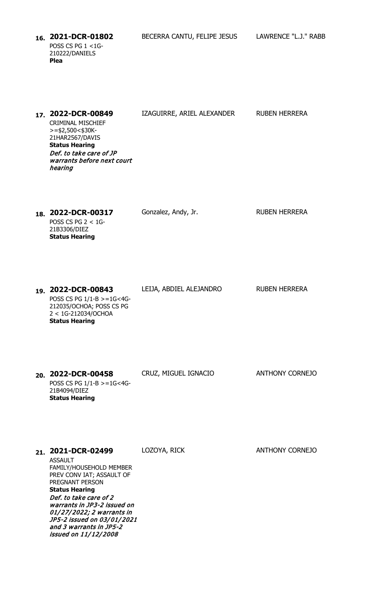POSS CS PG 1 <1G-210222/DANIELS **Plea**

**16. 2021-DCR-01802** BECERRA CANTU, FELIPE JESUS LAWRENCE "L.J." RABB

| 17 <sub>1</sub> | 2022-DCR-00849                                                   | IZAGUIRRE, ARIEL ALEXANDER | RUBEN HERRERA |
|-----------------|------------------------------------------------------------------|----------------------------|---------------|
|                 | CRIMINAL MISCHIEF<br>$>=$ \$2,500<\$30K-<br>21HAR2567/DAVIS      |                            |               |
|                 | <b>Status Hearing</b>                                            |                            |               |
|                 | Def, to take care of JP<br>warrants before next court<br>hearing |                            |               |
|                 |                                                                  |                            |               |

18. **2022-DCR-00317** Gonzalez, Andy, Jr. RUBEN HERRERA POSS CS PG 2 < 1G-21B3306/DIEZ **Status Hearing**

**19. 2022-DCR-00843** LEIJA, ABDIEL ALEJANDRO RUBEN HERRERA POSS CS PG 1/1-B >=1G<4G-212035/OCHOA; POSS CS PG 2 < 1G-212034/OCHOA **Status Hearing**

| 20. 2022-DCR-00458                                                      | CRUZ, MIGUEL IGNACIO | <b>ANTHONY CORNEJO</b> |
|-------------------------------------------------------------------------|----------------------|------------------------|
| POSS CS PG $1/1-B > = 1G < 4G$<br>21B4094/DIEZ<br><b>Status Hearing</b> |                      |                        |

| 21. | 2021-DCR-02499                                                                                                                                                                                                                                                    | LOZOYA, RICK | <b>ANTHONY CORNEJO</b> |
|-----|-------------------------------------------------------------------------------------------------------------------------------------------------------------------------------------------------------------------------------------------------------------------|--------------|------------------------|
|     | ASSAULT<br><b>FAMILY/HOUSEHOLD MEMBER</b><br>PREV CONV IAT; ASSAULT OF<br>PREGNANT PERSON<br><b>Status Hearing</b><br>Def, to take care of 2<br>warrants in JP3-2 issued on<br>01/27/2022; 2 warrants in<br>JP5-2 issued on 03/01/2021<br>and 3 warrants in JP5-2 |              |                        |
|     | <i>issued on 11/12/2008</i>                                                                                                                                                                                                                                       |              |                        |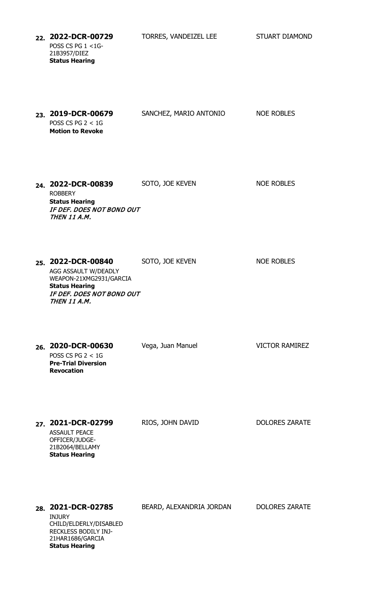**22. 2022-DCR-00729** TORRES, VANDEIZEL LEE STUART DIAMOND POSS CS PG 1 <1G-21B3957/DIEZ **Status Hearing**

**23. 2019-DCR-00679** SANCHEZ, MARIO ANTONIO NOE ROBLES POSS CS PG 2 < 1G **Motion to Revoke 24. 2022-DCR-00839** SOTO, JOE KEVEN NOE ROBLES ROBBERY **Status Hearing** IF DEF. DOES NOT BOND OUT THEN 11 A.M. **25. 2022-DCR-00840** SOTO, JOE KEVEN NOE ROBLES AGG ASSAULT W/DEADLY WEAPON-21XMG2931/GARCIA **Status Hearing** IF DEF. DOES NOT BOND OUT THEN 11 A.M. **26. 2020-DCR-00630** Vega, Juan Manuel VICTOR RAMIREZ POSS CS PG  $2 < 1$ G **Pre-Trial Diversion Revocation** 27. **2021-DCR-02799** RIOS, JOHN DAVID DOLORES ZARATE ASSAULT PEACE OFFICER/JUDGE-21B2064/BELLAMY **Status Hearing 28. 2021-DCR-02785** BEARD, ALEXANDRIA JORDAN DOLORES ZARATE INJURY CHILD/ELDERLY/DISABLED RECKLESS BODILY INJ-21HAR1686/GARCIA **Status Hearing**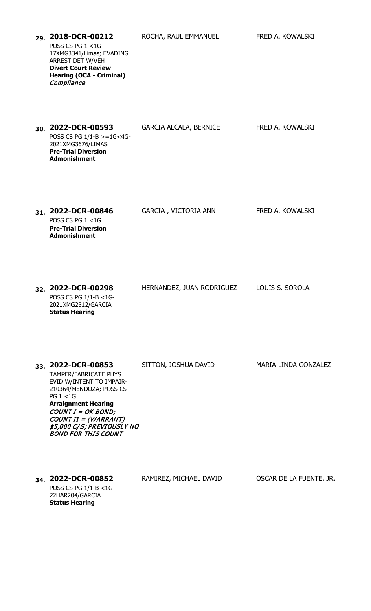| 29. 2018-DCR-00212<br>POSS CS PG 1 <1G-<br>17XMG3341/Limas; EVADING<br>ARREST DET W/VEH<br><b>Divert Court Review</b><br><b>Hearing (OCA - Criminal)</b><br>Compliance                                                                                                   | ROCHA, RAUL EMMANUEL          | FRED A. KOWALSKI            |
|--------------------------------------------------------------------------------------------------------------------------------------------------------------------------------------------------------------------------------------------------------------------------|-------------------------------|-----------------------------|
| 30. 2022-DCR-00593<br>POSS CS PG 1/1-B >=1G<4G-<br>2021XMG3676/LIMAS<br><b>Pre-Trial Diversion</b><br><b>Admonishment</b>                                                                                                                                                | <b>GARCIA ALCALA, BERNICE</b> | FRED A. KOWALSKI            |
| 31. 2022-DCR-00846<br>POSS CS PG $1 < 1$ G<br><b>Pre-Trial Diversion</b><br><b>Admonishment</b>                                                                                                                                                                          | <b>GARCIA, VICTORIA ANN</b>   | FRED A. KOWALSKI            |
| 32. 2022-DCR-00298<br>POSS CS PG 1/1-B <1G-<br>2021XMG2512/GARCIA<br><b>Status Hearing</b>                                                                                                                                                                               | HERNANDEZ, JUAN RODRIGUEZ     | LOUIS S. SOROLA             |
| 33. 2022-DCR-00853<br><b>TAMPER/FABRICATE PHYS</b><br>EVID W/INTENT TO IMPAIR-<br>210364/MENDOZA; POSS CS<br><b>PG 1 &lt;1G</b><br><b>Arraignment Hearing</b><br>$COUNTI = OK BOND;$<br>COUNT II = (WARRANT)<br>\$5,000 C/S; PREVIOUSLY NO<br><b>BOND FOR THIS COUNT</b> | SITTON, JOSHUA DAVID          | <b>MARIA LINDA GONZALEZ</b> |
| 34. 2022-DCR-00852<br>POSS CS PG 1/1-B <1G-<br>22HAR204/GARCIA<br><b>Status Hearing</b>                                                                                                                                                                                  | RAMIREZ, MICHAEL DAVID        | OSCAR DE LA FUENTE, JR.     |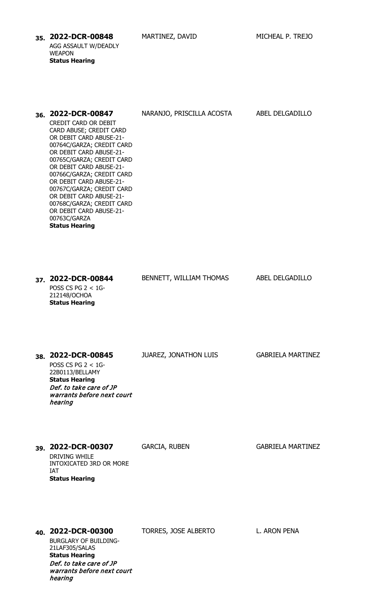**35. 2022-DCR-00848** MARTINEZ, DAVID MICHEAL P. TREJO AGG ASSAULT W/DEADLY WEAPON **Status Hearing**

| 36. 2022-DCR-00847<br>CREDIT CARD OR DEBIT<br>CARD ABUSE; CREDIT CARD<br>OR DEBIT CARD ABUSE-21-<br>00764C/GARZA; CREDIT CARD<br>OR DEBIT CARD ABUSE-21-<br>00765C/GARZA; CREDIT CARD<br>OR DEBIT CARD ABUSE-21-<br>00766C/GARZA; CREDIT CARD<br>OR DEBIT CARD ABUSE-21-<br>00767C/GARZA; CREDIT CARD<br>OR DEBIT CARD ABUSE-21-<br>00768C/GARZA; CREDIT CARD<br>OR DEBIT CARD ABUSE-21- | NARANJO, PRISCILLA ACOSTA    | ABEL DELGADILLO          |
|------------------------------------------------------------------------------------------------------------------------------------------------------------------------------------------------------------------------------------------------------------------------------------------------------------------------------------------------------------------------------------------|------------------------------|--------------------------|
| 00763C/GARZA<br><b>Status Hearing</b><br>37. 2022-DCR-00844<br>POSS CS PG $2 < 1$ G-<br>212148/OCHOA<br><b>Status Hearing</b>                                                                                                                                                                                                                                                            | BENNETT, WILLIAM THOMAS      | ABEL DELGADILLO          |
| 38. 2022-DCR-00845<br>POSS CS PG $2 < 1$ G-<br>22B0113/BELLAMY<br><b>Status Hearing</b><br>Def. to take care of JP<br>warrants before next court                                                                                                                                                                                                                                         | <b>JUAREZ, JONATHON LUIS</b> | <b>GABRIELA MARTINEZ</b> |
| hearing<br>39. 2022-DCR-00307<br>DRIVING WHILE<br><b>INTOXICATED 3RD OR MORE</b><br><b>IAT</b><br><b>Status Hearing</b>                                                                                                                                                                                                                                                                  | <b>GARCIA, RUBEN</b>         | <b>GABRIELA MARTINEZ</b> |
| 40. 2022-DCR-00300<br><b>BURGLARY OF BUILDING-</b><br>21LAF305/SALAS<br><b>Status Hearing</b><br>Def. to take care of JP<br>warrants before next court<br>hearing                                                                                                                                                                                                                        | TORRES, JOSE ALBERTO         | L. ARON PENA             |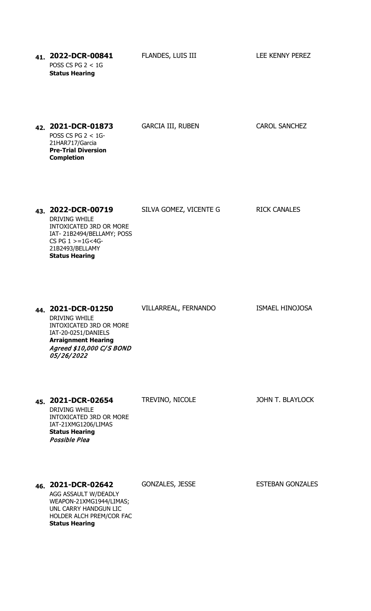**41. 2022-DCR-00841** FLANDES, LUIS III LEE KENNY PEREZ POSS CS PG 2 < 1G **Status Hearing**

| 42. 2021-DCR-01873         |
|----------------------------|
| POSS CS PG $2 < 1$ G-      |
| 21HAR717/Garcia            |
| <b>Pre-Trial Diversion</b> |
| <b>Completion</b>          |
|                            |

43. **2022-DCR-00719** SILVA GOMEZ, VICENTE G RICK CANALES

INTOXICATED 3RD OR MORE IAT- 21B2494/BELLAMY; POSS

DRIVING WHILE

CS PG  $1 > = 1$ G<4G-21B2493/BELLAMY **Status Hearing**

GARCIA III, RUBEN CAROL SANCHEZ

**44. 2021-DCR-01250** VILLARREAL, FERNANDO ISMAEL HINOJOSA DRIVING WHILE INTOXICATED 3RD OR MORE IAT-20-0251/DANIELS **Arraignment Hearing** Agreed \$10,000 C/S BOND 05/26/2022

**45. 2021-DCR-02654** TREVINO, NICOLE JOHN T. BLAYLOCK

DRIVING WHILE INTOXICATED 3RD OR MORE IAT-21XMG1206/LIMAS **Status Hearing** Possible Plea

46. **2021-DCR-02642** GONZALES, JESSE **ESTEBAN GONZALES** 

AGG ASSAULT W/DEADLY WEAPON-21XMG1944/LIMAS; UNL CARRY HANDGUN LIC HOLDER ALCH PREM/COR FAC **Status Hearing**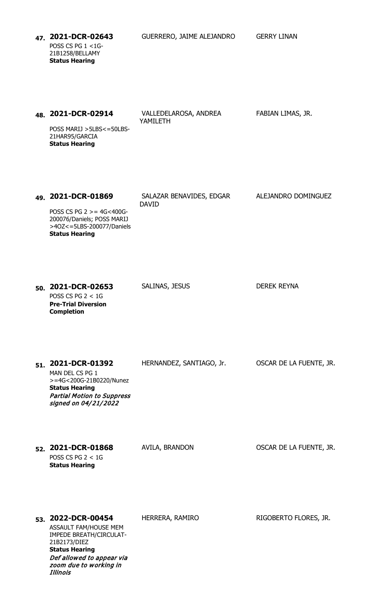**47. 2021-DCR-02643** GUERRERO, JAIME ALEJANDRO GERRY LINAN POSS CS PG 1 <1G-21B1258/BELLAMY **Status Hearing**

| <sub>48.</sub> 2021-DCR-02914        | VALLEDELAROSA, ANDREA | FABIAN LIMAS, JR. |
|--------------------------------------|-----------------------|-------------------|
|                                      | YAMILETH              |                   |
| DOCC MADIL $\lt$ ELDC $\lt$ = EQLDC. |                       |                   |

POSS MARIJ >5LBS<=50LBS-21HAR95/GARCIA **Status Hearing**

**49. 2021-DCR-01869** SALAZAR BENAVIDES, EDGAR DAVID ALEJANDRO DOMINGUEZ

POSS CS PG 2 >= 4G<400G-200076/Daniels; POSS MARIJ >4OZ<=5LBS-200077/Daniels **Status Hearing**

**50. 2021-DCR-02653** SALINAS, JESUS DEREK REYNA POSS CS PG  $2 < 1$ G **Pre-Trial Diversion Completion**

**51. 2021-DCR-01392** HERNANDEZ, SANTIAGO, Jr. OSCAR DE LA FUENTE, JR.

MAN DEL CS PG 1 >=4G<200G-21B0220/Nunez **Status Hearing** Partial Motion to Suppress signed on 04/21/2022

**52. 2021-DCR-01868** AVILA, BRANDON OSCAR DE LA FUENTE, JR. POSS CS PG 2 < 1G **Status Hearing**

**53. 2022-DCR-00454** HERRERA, RAMIRO RIGOBERTO FLORES, JR.

ASSAULT FAM/HOUSE MEM IMPEDE BREATH/CIRCULAT-21B2173/DIEZ **Status Hearing** Def allowed to appear via zoom due to working in Illinois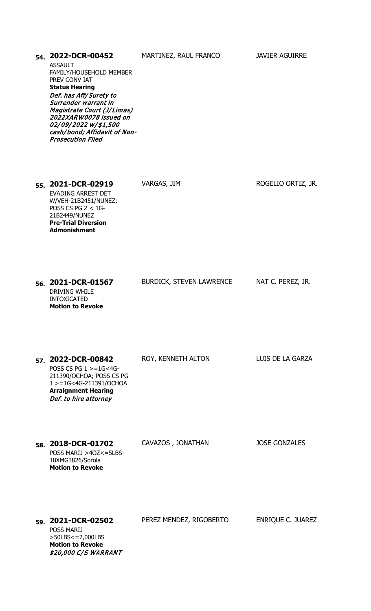| 54. 2022-DCR-00452<br><b>ASSAULT</b><br>FAMILY/HOUSEHOLD MEMBER<br>PREV CONV IAT<br><b>Status Hearing</b><br>Def. has Aff/Surety to<br>Surrender warrant in<br>Magistrate Court (J/Limas)<br>2022XARW0078 issued on<br>02/09/2022 w/\$1,500<br>cash/bond; Affidavit of Non-<br><b>Prosecution Filed</b> | MARTINEZ, RAUL FRANCO           | <b>JAVIER AGUIRRE</b>    |
|---------------------------------------------------------------------------------------------------------------------------------------------------------------------------------------------------------------------------------------------------------------------------------------------------------|---------------------------------|--------------------------|
| 55. 2021-DCR-02919<br><b>EVADING ARREST DET</b><br>W/VEH-21B2451/NUNEZ;<br>POSS CS PG $2 < 1$ G-<br>21B2449/NUNEZ<br><b>Pre-Trial Diversion</b><br><b>Admonishment</b>                                                                                                                                  | VARGAS, JIM                     | ROGELIO ORTIZ, JR.       |
| 56. 2021-DCR-01567<br><b>DRIVING WHILE</b><br><b>INTOXICATED</b><br><b>Motion to Revoke</b>                                                                                                                                                                                                             | <b>BURDICK, STEVEN LAWRENCE</b> | NAT C. PEREZ, JR.        |
| 57. 2022-DCR-00842<br>POSS CS PG $1 > = 1$ G<4G-<br>211390/OCHOA; POSS CS PG<br>1 > = 1G<4G-211391/OCHOA<br><b>Arraignment Hearing</b><br>Def. to hire attorney                                                                                                                                         | ROY, KENNETH ALTON              | LUIS DE LA GARZA         |
| 58. 2018-DCR-01702<br>POSS MARIJ >40Z<=5LBS-<br>18XMG1826/Sorola<br><b>Motion to Revoke</b>                                                                                                                                                                                                             | CAVAZOS, JONATHAN               | <b>JOSE GONZALES</b>     |
| 59. 2021-DCR-02502<br><b>POSS MARIJ</b><br>>50LBS<=2,000LBS<br><b>Motion to Revoke</b><br>\$20,000 C/S WARRANT                                                                                                                                                                                          | PEREZ MENDEZ, RIGOBERTO         | <b>ENRIQUE C. JUAREZ</b> |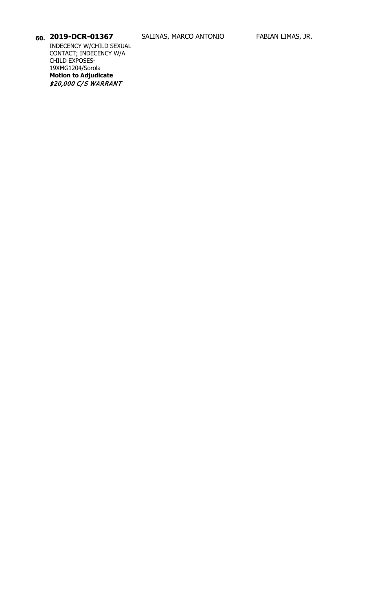INDECENCY W/CHILD SEXUAL CONTACT; INDECENCY W/A CHILD EXPOSES-19XMG1204/Sorola **Motion to Adjudicate** \$20,000 C/S WARRANT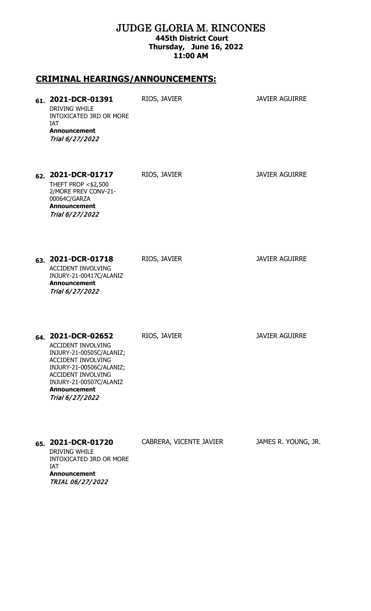#### JUDGE GLORIA M. RINCONES **445th District Court Thursday, June 16, 2022 11:00 AM**

### **CRIMINAL HEARINGS/ANNOUNCEMENTS:**

**Announcement** TRIAL 06/ 27/ 2022

| 61. 2021-DCR-01391<br>DRIVING WHILE<br>INTOXICATED 3RD OR MORE<br><b>IAT</b><br><b>Announcement</b><br>Trial 6/27/2022                                                                                                          | RIOS, JAVIER            | <b>JAVIER AGUIRRE</b> |
|---------------------------------------------------------------------------------------------------------------------------------------------------------------------------------------------------------------------------------|-------------------------|-----------------------|
| 62. 2021-DCR-01717<br><b>THEFT PROP &lt;\$2,500</b><br>2/MORE PREV CONV-21-<br>00064C/GARZA<br><b>Announcement</b><br>Trial 6/27/2022                                                                                           | RIOS, JAVIER            | <b>JAVIER AGUIRRE</b> |
| 63. 2021-DCR-01718<br>ACCIDENT INVOLVING<br>INJURY-21-00417C/ALANIZ<br><b>Announcement</b><br>Trial 6/27/2022                                                                                                                   | RIOS, JAVIER            | <b>JAVIER AGUIRRE</b> |
| 64. 2021-DCR-02652<br><b>ACCIDENT INVOLVING</b><br>INJURY-21-00505C/ALANIZ;<br>ACCIDENT INVOLVING<br>INJURY-21-00506C/ALANIZ;<br><b>ACCIDENT INVOLVING</b><br>INJURY-21-00507C/ALANIZ<br><b>Announcement</b><br>Trial 6/27/2022 | RIOS, JAVIER            | <b>JAVIER AGUIRRE</b> |
| 65. 2021-DCR-01720<br><b>DRIVING WHILE</b><br>INTOXICATED 3RD OR MORE<br>IAT                                                                                                                                                    | CABRERA, VICENTE JAVIER | JAMES R. YOUNG, JR.   |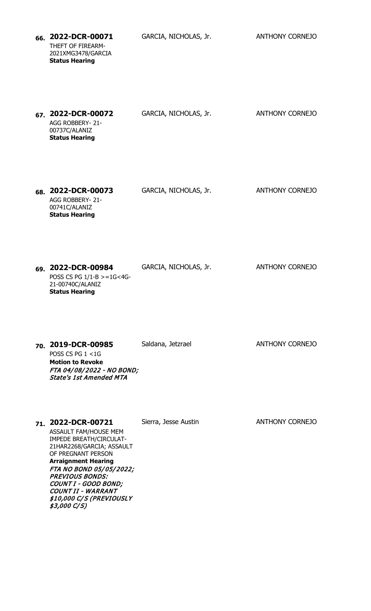**66. 2022-DCR-00071** GARCIA, NICHOLAS, Jr. ANTHONY CORNEJO THEFT OF FIREARM-2021XMG3478/GARCIA **Status Hearing**

| 67. 2022-DCR-00072    | GARCIA, NICHOLAS, Jr. | <b>ANTHONY CORNEJO</b> |
|-----------------------|-----------------------|------------------------|
| AGG ROBBERY- 21-      |                       |                        |
| 00737C/ALANIZ         |                       |                        |
| <b>Status Hearing</b> |                       |                        |

**68. 2022-DCR-00073** GARCIA, NICHOLAS, Jr. ANTHONY CORNEJO AGG ROBBERY- 21- 00741C/ALANIZ **Status Hearing**

**69. 2022-DCR-00984** GARCIA, NICHOLAS, Jr. ANTHONY CORNEJO POSS CS PG  $1/1-B$  >=1G<4G-21-00740C/ALANIZ **Status Hearing**

**70. 2019-DCR-00985** Saldana, Jetzrael **Saldana**, Herzog ANTHONY CORNEJO POSS CS PG 1 <1G **Motion to Revoke** FTA 04/ 08/ 2022 - NO BOND; State's 1st Amended MTA

#### **71. 2022-DCR-00721** Sierra, Jesse Austin **ANTHONY CORNEJO**

ASSAULT FAM/HOUSE MEM IMPEDE BREATH/CIRCULAT-21HAR2268/GARCIA; ASSAULT OF PREGNANT PERSON **Arraignment Hearing** FTA NO BOND 05/05/2022; PREVIOUS BONDS: COUNT I - GOOD BOND; COUNT II - WARRANT \$10,000 C/S (PREVIOUSLY \$3,000 C/ S)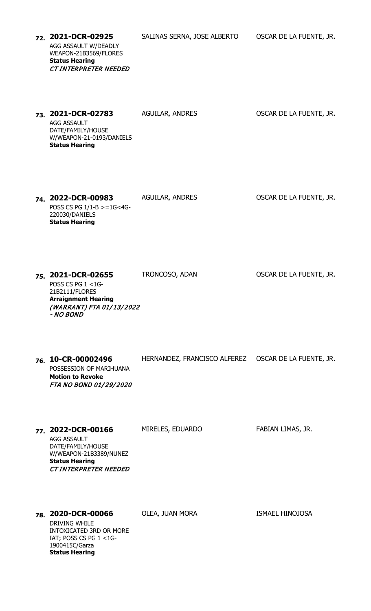| 220030/DANIELS<br><b>Status Hearing</b>                                                                                                          |                                                      |                         |
|--------------------------------------------------------------------------------------------------------------------------------------------------|------------------------------------------------------|-------------------------|
| 75. 2021-DCR-02655<br>POSS CS PG 1 <1G-<br>21B2111/FLORES<br><b>Arraignment Hearing</b><br>(WARRANT) FTA 01/13/2022<br>- NO BOND                 | TRONCOSO, ADAN                                       | OSCAR DE LA FUENTE, JR. |
| 76. 10-CR-00002496<br>POSSESSION OF MARIHUANA<br><b>Motion to Revoke</b><br>FTA NO BOND 01/29/2020                                               | HERNANDEZ, FRANCISCO ALFEREZ OSCAR DE LA FUENTE, JR. |                         |
| 77. 2022-DCR-00166<br><b>AGG ASSAULT</b><br>DATE/FAMILY/HOUSE<br>W/WEAPON-21B3389/NUNEZ<br><b>Status Hearing</b><br><b>CT INTERPRETER NEEDED</b> | MIRELES, EDUARDO                                     | FABIAN LIMAS, JR.       |
| 78. 2020-DCR-00066<br><b>DRIVING WHILE</b><br>INTOXICATED 3RD OR MORE                                                                            | OLEA, JUAN MORA                                      | <b>ISMAEL HINOJOSA</b>  |

**74. 2022-DCR-00983** AGUILAR, ANDRES OSCAR DE LA FUENTE, JR.

AGG ASSAULT DATE/FAMILY/HOUSE W/WEAPON-21-0193/DANIELS **Status Hearing**

POSS CS PG 1/1-B >=1G<4G-

IAT; POSS CS PG 1 <1G-

1900415C/Garza **Status Hearing**

**73. 2021-DCR-02783** AGUILAR, ANDRES OSCAR DE LA FUENTE, JR.

CT INTERPRETER NEEDED

**Status Hearing**

AGG ASSAULT W/DEADLY WEAPON-21B3569/FLORES

**72. 2021-DCR-02925** SALINAS SERNA, JOSE ALBERTO OSCAR DE LA FUENTE, JR.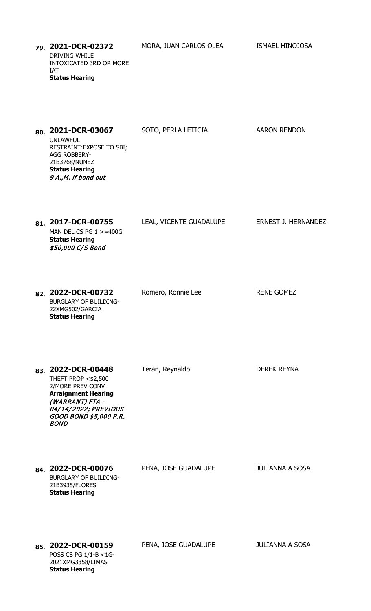**79. 2021-DCR-02372** MORA, JUAN CARLOS OLEA ISMAEL HINOJOSA DRIVING WHILE INTOXICATED 3RD OR MORE IAT **Status Hearing** 80. **2021-DCR-03067** SOTO, PERLA LETICIA AARON RENDON UNLAWFUL RESTRAINT:EXPOSE TO SBI; AGG ROBBERY-21B3768/NUNEZ **Status Hearing** 9 A.,M. if bond out 81. **2017-DCR-00755** LEAL, VICENTE GUADALUPE ERNEST J. HERNANDEZ MAN DEL CS PG 1 >=400G **Status Hearing** \$50,000 C/S Bond 82. **2022-DCR-00732** Romero, Ronnie Lee RENE GOMEZ BURGLARY OF BUILDING-22XMG502/GARCIA **Status Hearing** 83. **2022-DCR-00448** Teran, Reynaldo **DEREK REYNA** THEFT PROP <\$2,500 2/MORE PREV CONV **Arraignment Hearing** (WARRANT) FTA - 04/ 14/ 2022; PREVIOUS GOOD BOND \$5,000 P.R. BOND **84. 2022-DCR-00076** PENA, JOSE GUADALUPE JULIANNA A SOSA BURGLARY OF BUILDING-21B3935/FLORES **Status Hearing 85. 2022-DCR-00159** PENA, JOSE GUADALUPE JULIANNA A SOSA POSS CS PG 1/1-B <1G-2021XMG3358/LIMAS **Status Hearing**